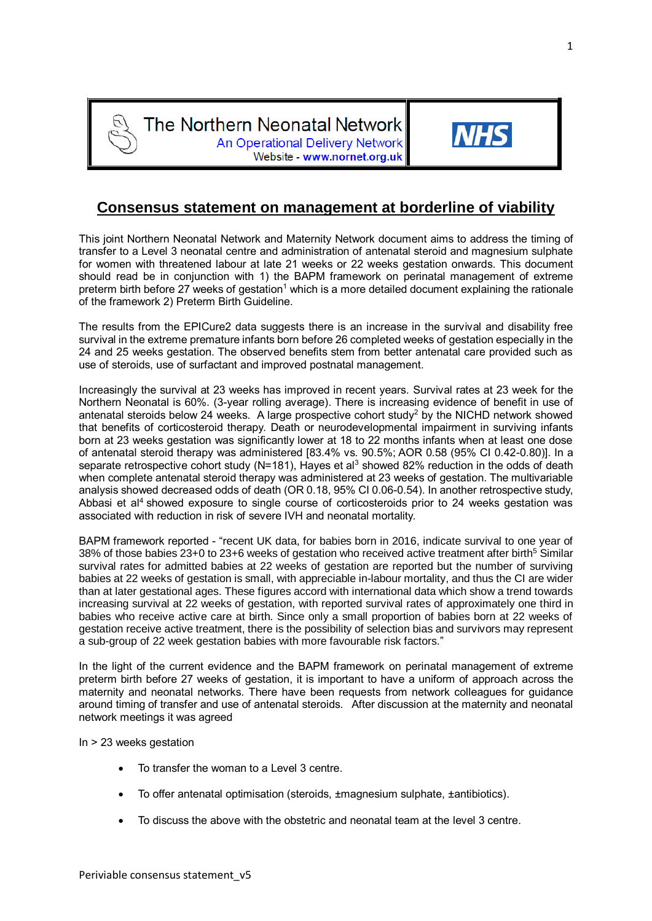The Northern Neonatal Network **An Operational Delivery Network** Website - www.nornet.org.uk



This joint Northern Neonatal Network and Maternity Network document aims to address the timing of transfer to a Level 3 neonatal centre and administration of antenatal steroid and magnesium sulphate for women with threatened labour at late 21 weeks or 22 weeks gestation onwards. This document should read be in conjunction with 1) the BAPM framework on perinatal management of extreme preterm birth before 27 weeks of gestation<sup>1</sup> which is a more detailed document explaining the rationale of the framework 2) Preterm Birth Guideline.

The results from the EPICure2 data suggests there is an increase in the survival and disability free survival in the extreme premature infants born before 26 completed weeks of gestation especially in the 24 and 25 weeks gestation. The observed benefits stem from better antenatal care provided such as use of steroids, use of surfactant and improved postnatal management.

Increasingly the survival at 23 weeks has improved in recent years. Survival rates at 23 week for the Northern Neonatal is 60%. (3-year rolling average). There is increasing evidence of benefit in use of antenatal steroids below 24 weeks. A large prospective cohort study<sup>2</sup> by the NICHD network showed that benefits of corticosteroid therapy. Death or neurodevelopmental impairment in surviving infants born at 23 weeks gestation was significantly lower at 18 to 22 months infants when at least one dose of antenatal steroid therapy was administered [83.4% vs. 90.5%; AOR 0.58 (95% CI 0.42-0.80)]. In a separate retrospective cohort study (N=181), Hayes et al<sup>3</sup> showed 82% reduction in the odds of death when complete antenatal steroid therapy was administered at 23 weeks of gestation. The multivariable analysis showed decreased odds of death (OR 0.18, 95% CI 0.06-0.54). In another retrospective study, Abbasi et al<sup>4</sup> showed exposure to single course of corticosteroids prior to 24 weeks gestation was associated with reduction in risk of severe IVH and neonatal mortality.

BAPM framework reported - "recent UK data, for babies born in 2016, indicate survival to one year of 38% of those babies 23+0 to 23+6 weeks of gestation who received active treatment after birth<sup>5</sup> Similar survival rates for admitted babies at 22 weeks of gestation are reported but the number of surviving babies at 22 weeks of gestation is small, with appreciable in-labour mortality, and thus the CI are wider than at later gestational ages. These figures accord with international data which show a trend towards increasing survival at 22 weeks of gestation, with reported survival rates of approximately one third in babies who receive active care at birth. Since only a small proportion of babies born at 22 weeks of gestation receive active treatment, there is the possibility of selection bias and survivors may represent a sub-group of 22 week gestation babies with more favourable risk factors."

In the light of the current evidence and the BAPM framework on perinatal management of extreme preterm birth before 27 weeks of gestation, it is important to have a uniform of approach across the maternity and neonatal networks. There have been requests from network colleagues for guidance around timing of transfer and use of antenatal steroids. After discussion at the maternity and neonatal network meetings it was agreed

In > 23 weeks gestation

- To transfer the woman to a Level 3 centre.
- To offer antenatal optimisation (steroids, ±magnesium sulphate, ±antibiotics).
- To discuss the above with the obstetric and neonatal team at the level 3 centre.